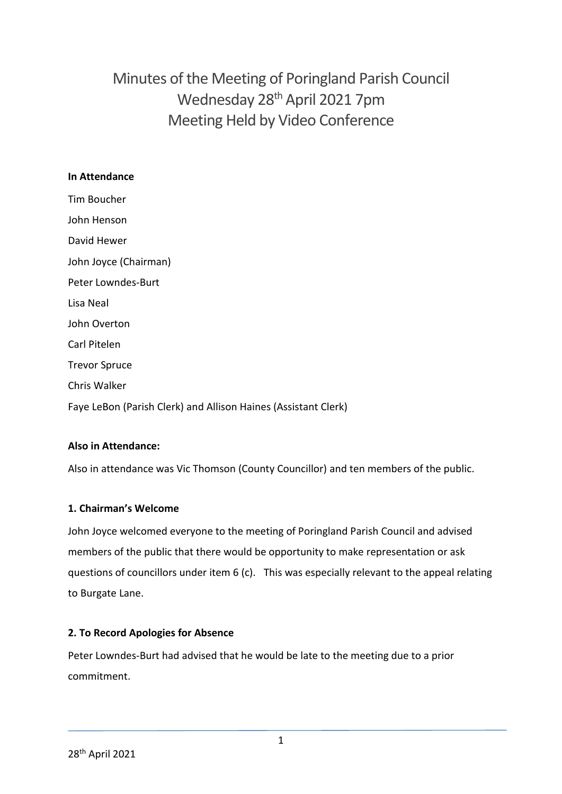# Minutes of the Meeting of Poringland Parish Council Wednesday 28th April 2021 7pm Meeting Held by Video Conference

## **In Attendance**

Tim Boucher John Henson David Hewer John Joyce (Chairman) Peter Lowndes-Burt Lisa Neal John Overton Carl Pitelen Trevor Spruce Chris Walker Faye LeBon (Parish Clerk) and Allison Haines (Assistant Clerk)

## **Also in Attendance:**

Also in attendance was Vic Thomson (County Councillor) and ten members of the public.

## **1. Chairman's Welcome**

John Joyce welcomed everyone to the meeting of Poringland Parish Council and advised members of the public that there would be opportunity to make representation or ask questions of councillors under item 6 (c). This was especially relevant to the appeal relating to Burgate Lane.

## **2. To Record Apologies for Absence**

Peter Lowndes-Burt had advised that he would be late to the meeting due to a prior commitment.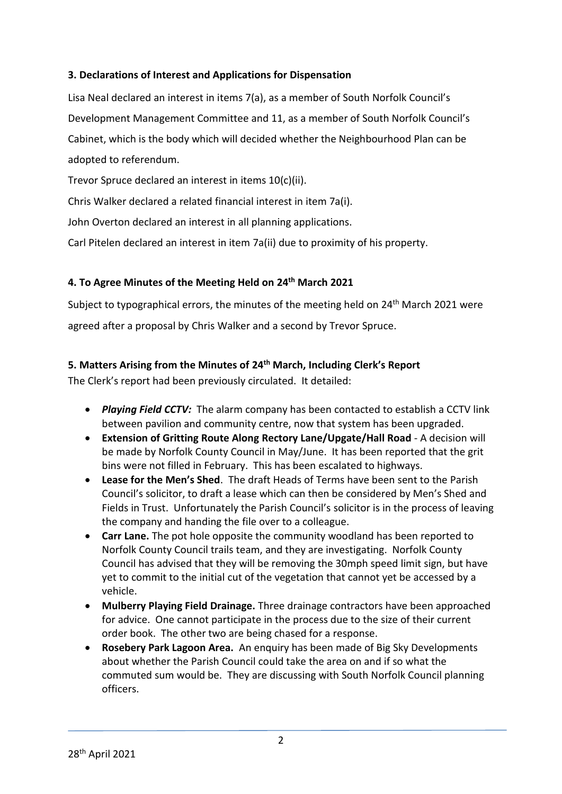## **3. Declarations of Interest and Applications for Dispensation**

Lisa Neal declared an interest in items 7(a), as a member of South Norfolk Council's Development Management Committee and 11, as a member of South Norfolk Council's Cabinet, which is the body which will decided whether the Neighbourhood Plan can be adopted to referendum.

Trevor Spruce declared an interest in items 10(c)(ii).

Chris Walker declared a related financial interest in item 7a(i).

John Overton declared an interest in all planning applications.

Carl Pitelen declared an interest in item 7a(ii) due to proximity of his property.

## **4. To Agree Minutes of the Meeting Held on 24th March 2021**

Subject to typographical errors, the minutes of the meeting held on 24<sup>th</sup> March 2021 were agreed after a proposal by Chris Walker and a second by Trevor Spruce.

## **5. Matters Arising from the Minutes of 24th March, Including Clerk's Report**

The Clerk's report had been previously circulated. It detailed:

- *Playing Field CCTV:* The alarm company has been contacted to establish a CCTV link between pavilion and community centre, now that system has been upgraded.
- **Extension of Gritting Route Along Rectory Lane/Upgate/Hall Road** A decision will be made by Norfolk County Council in May/June. It has been reported that the grit bins were not filled in February. This has been escalated to highways.
- **Lease for the Men's Shed**. The draft Heads of Terms have been sent to the Parish Council's solicitor, to draft a lease which can then be considered by Men's Shed and Fields in Trust. Unfortunately the Parish Council's solicitor is in the process of leaving the company and handing the file over to a colleague.
- **Carr Lane.** The pot hole opposite the community woodland has been reported to Norfolk County Council trails team, and they are investigating. Norfolk County Council has advised that they will be removing the 30mph speed limit sign, but have yet to commit to the initial cut of the vegetation that cannot yet be accessed by a vehicle.
- **Mulberry Playing Field Drainage.** Three drainage contractors have been approached for advice. One cannot participate in the process due to the size of their current order book. The other two are being chased for a response.
- **Rosebery Park Lagoon Area.** An enquiry has been made of Big Sky Developments about whether the Parish Council could take the area on and if so what the commuted sum would be. They are discussing with South Norfolk Council planning officers.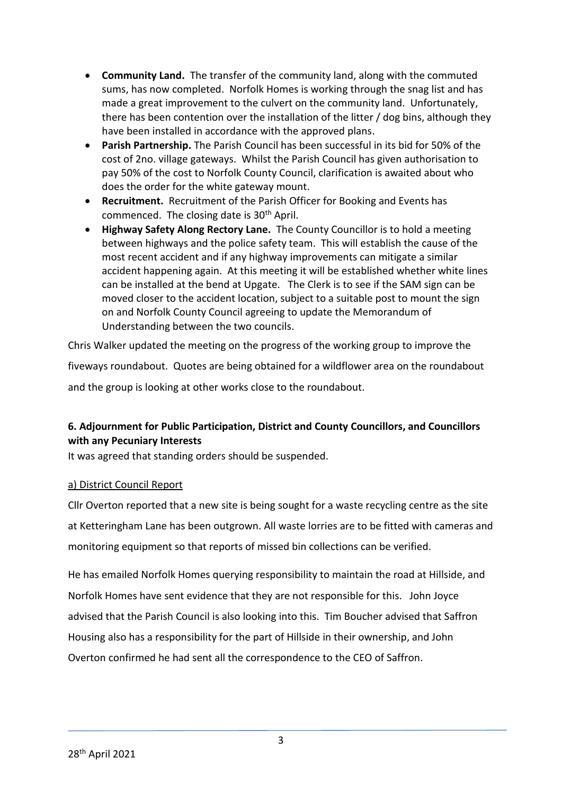- **Community Land.** The transfer of the community land, along with the commuted sums, has now completed. Norfolk Homes is working through the snag list and has made a great improvement to the culvert on the community land. Unfortunately, there has been contention over the installation of the litter / dog bins, although they have been installed in accordance with the approved plans.
- **Parish Partnership.** The Parish Council has been successful in its bid for 50% of the cost of 2no. village gateways. Whilst the Parish Council has given authorisation to pay 50% of the cost to Norfolk County Council, clarification is awaited about who does the order for the white gateway mount.
- **Recruitment.** Recruitment of the Parish Officer for Booking and Events has commenced. The closing date is 30<sup>th</sup> April.
- **Highway Safety Along Rectory Lane.** The County Councillor is to hold a meeting between highways and the police safety team. This will establish the cause of the most recent accident and if any highway improvements can mitigate a similar accident happening again. At this meeting it will be established whether white lines can be installed at the bend at Upgate. The Clerk is to see if the SAM sign can be moved closer to the accident location, subject to a suitable post to mount the sign on and Norfolk County Council agreeing to update the Memorandum of Understanding between the two councils.

Chris Walker updated the meeting on the progress of the working group to improve the fiveways roundabout. Quotes are being obtained for a wildflower area on the roundabout

and the group is looking at other works close to the roundabout.

# **6. Adjournment for Public Participation, District and County Councillors, and Councillors with any Pecuniary Interests**

It was agreed that standing orders should be suspended.

# a) District Council Report

Cllr Overton reported that a new site is being sought for a waste recycling centre as the site at Ketteringham Lane has been outgrown. All waste lorries are to be fitted with cameras and monitoring equipment so that reports of missed bin collections can be verified.

He has emailed Norfolk Homes querying responsibility to maintain the road at Hillside, and Norfolk Homes have sent evidence that they are not responsible for this. John Joyce advised that the Parish Council is also looking into this. Tim Boucher advised that Saffron Housing also has a responsibility for the part of Hillside in their ownership, and John Overton confirmed he had sent all the correspondence to the CEO of Saffron.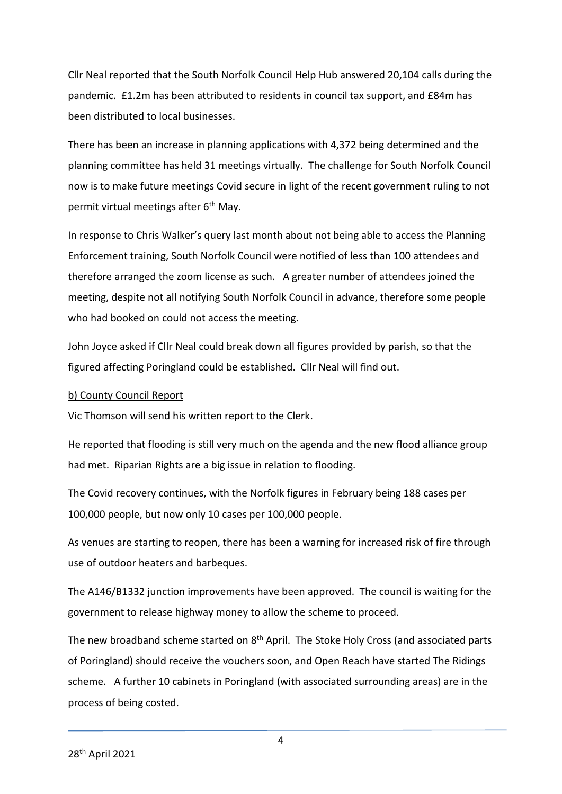Cllr Neal reported that the South Norfolk Council Help Hub answered 20,104 calls during the pandemic. £1.2m has been attributed to residents in council tax support, and £84m has been distributed to local businesses.

There has been an increase in planning applications with 4,372 being determined and the planning committee has held 31 meetings virtually. The challenge for South Norfolk Council now is to make future meetings Covid secure in light of the recent government ruling to not permit virtual meetings after 6<sup>th</sup> May.

In response to Chris Walker's query last month about not being able to access the Planning Enforcement training, South Norfolk Council were notified of less than 100 attendees and therefore arranged the zoom license as such. A greater number of attendees joined the meeting, despite not all notifying South Norfolk Council in advance, therefore some people who had booked on could not access the meeting.

John Joyce asked if Cllr Neal could break down all figures provided by parish, so that the figured affecting Poringland could be established. Cllr Neal will find out.

## b) County Council Report

Vic Thomson will send his written report to the Clerk.

He reported that flooding is still very much on the agenda and the new flood alliance group had met. Riparian Rights are a big issue in relation to flooding.

The Covid recovery continues, with the Norfolk figures in February being 188 cases per 100,000 people, but now only 10 cases per 100,000 people.

As venues are starting to reopen, there has been a warning for increased risk of fire through use of outdoor heaters and barbeques.

The A146/B1332 junction improvements have been approved. The council is waiting for the government to release highway money to allow the scheme to proceed.

The new broadband scheme started on 8<sup>th</sup> April. The Stoke Holy Cross (and associated parts of Poringland) should receive the vouchers soon, and Open Reach have started The Ridings scheme. A further 10 cabinets in Poringland (with associated surrounding areas) are in the process of being costed.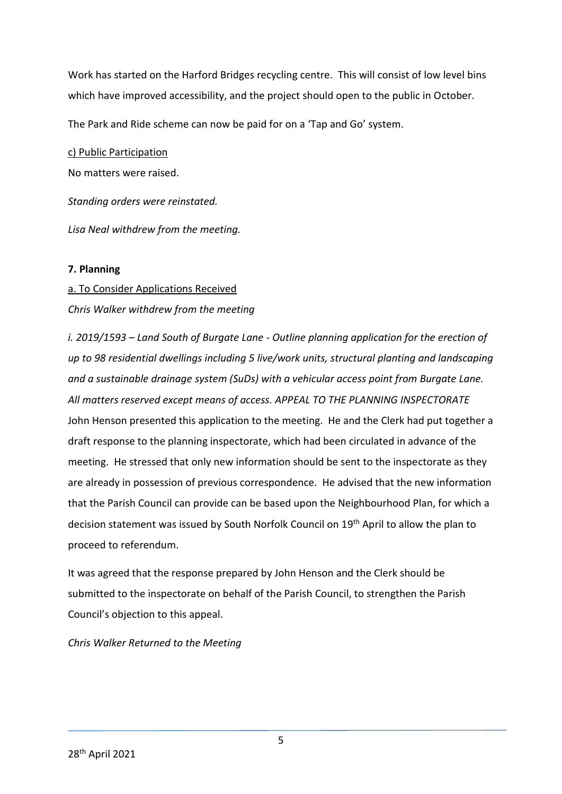Work has started on the Harford Bridges recycling centre. This will consist of low level bins which have improved accessibility, and the project should open to the public in October.

The Park and Ride scheme can now be paid for on a 'Tap and Go' system.

c) Public Participation

No matters were raised.

*Standing orders were reinstated.* 

*Lisa Neal withdrew from the meeting.* 

## **7. Planning**

a. To Consider Applications Received

# *Chris Walker withdrew from the meeting*

*i. 2019/1593 – Land South of Burgate Lane - Outline planning application for the erection of up to 98 residential dwellings including 5 live/work units, structural planting and landscaping and a sustainable drainage system (SuDs) with a vehicular access point from Burgate Lane. All matters reserved except means of access. APPEAL TO THE PLANNING INSPECTORATE* John Henson presented this application to the meeting. He and the Clerk had put together a draft response to the planning inspectorate, which had been circulated in advance of the meeting. He stressed that only new information should be sent to the inspectorate as they are already in possession of previous correspondence. He advised that the new information that the Parish Council can provide can be based upon the Neighbourhood Plan, for which a decision statement was issued by South Norfolk Council on 19<sup>th</sup> April to allow the plan to proceed to referendum.

It was agreed that the response prepared by John Henson and the Clerk should be submitted to the inspectorate on behalf of the Parish Council, to strengthen the Parish Council's objection to this appeal.

*Chris Walker Returned to the Meeting*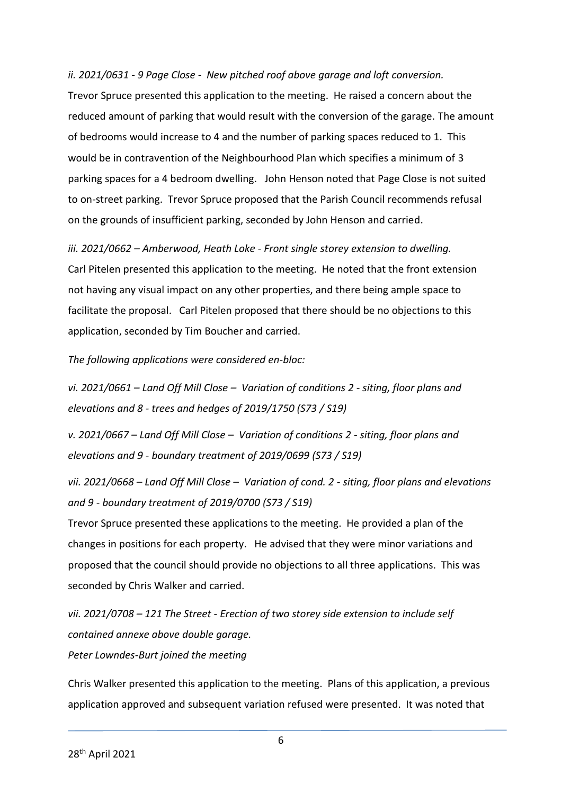*ii. 2021/0631 - 9 Page Close - New pitched roof above garage and loft conversion.* Trevor Spruce presented this application to the meeting. He raised a concern about the reduced amount of parking that would result with the conversion of the garage. The amount of bedrooms would increase to 4 and the number of parking spaces reduced to 1. This would be in contravention of the Neighbourhood Plan which specifies a minimum of 3 parking spaces for a 4 bedroom dwelling. John Henson noted that Page Close is not suited to on-street parking. Trevor Spruce proposed that the Parish Council recommends refusal on the grounds of insufficient parking, seconded by John Henson and carried.

*iii. 2021/0662 – Amberwood, Heath Loke - Front single storey extension to dwelling.* Carl Pitelen presented this application to the meeting. He noted that the front extension not having any visual impact on any other properties, and there being ample space to facilitate the proposal. Carl Pitelen proposed that there should be no objections to this application, seconded by Tim Boucher and carried.

*The following applications were considered en-bloc:*

*vi. 2021/0661 – Land Off Mill Close – Variation of conditions 2 - siting, floor plans and elevations and 8 - trees and hedges of 2019/1750 (S73 / S19)*

*v. 2021/0667 – Land Off Mill Close – Variation of conditions 2 - siting, floor plans and elevations and 9 - boundary treatment of 2019/0699 (S73 / S19)*

*vii. 2021/0668 – Land Off Mill Close – Variation of cond. 2 - siting, floor plans and elevations and 9 - boundary treatment of 2019/0700 (S73 / S19)*

Trevor Spruce presented these applications to the meeting. He provided a plan of the changes in positions for each property. He advised that they were minor variations and proposed that the council should provide no objections to all three applications. This was seconded by Chris Walker and carried.

*vii. 2021/0708 – 121 The Street - Erection of two storey side extension to include self contained annexe above double garage. Peter Lowndes-Burt joined the meeting*

Chris Walker presented this application to the meeting. Plans of this application, a previous application approved and subsequent variation refused were presented. It was noted that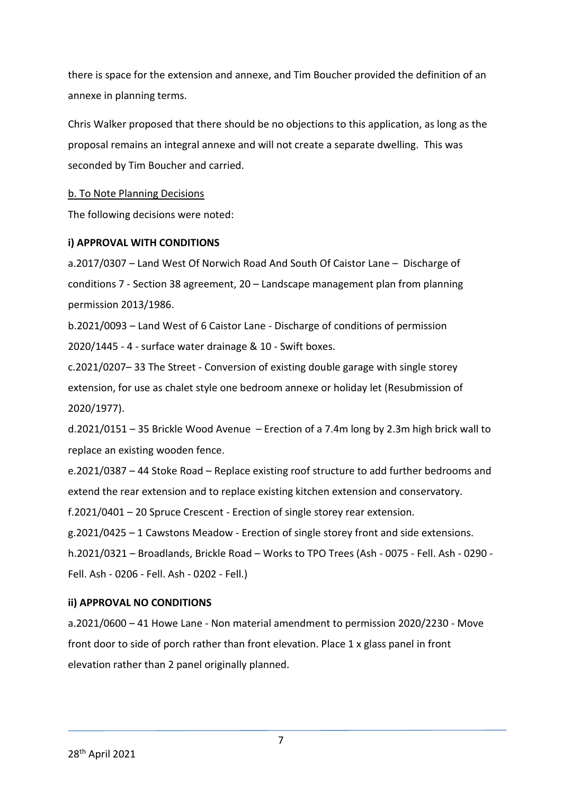there is space for the extension and annexe, and Tim Boucher provided the definition of an annexe in planning terms.

Chris Walker proposed that there should be no objections to this application, as long as the proposal remains an integral annexe and will not create a separate dwelling. This was seconded by Tim Boucher and carried.

## b. To Note Planning Decisions

The following decisions were noted:

#### **i) APPROVAL WITH CONDITIONS**

a.2017/0307 – Land West Of Norwich Road And South Of Caistor Lane – Discharge of conditions 7 - Section 38 agreement, 20 – Landscape management plan from planning permission 2013/1986.

b.2021/0093 – Land West of 6 Caistor Lane - Discharge of conditions of permission 2020/1445 - 4 - surface water drainage & 10 - Swift boxes.

c.2021/0207– 33 The Street - Conversion of existing double garage with single storey extension, for use as chalet style one bedroom annexe or holiday let (Resubmission of 2020/1977).

d.2021/0151 – 35 Brickle Wood Avenue – Erection of a 7.4m long by 2.3m high brick wall to replace an existing wooden fence.

e.2021/0387 – 44 Stoke Road – Replace existing roof structure to add further bedrooms and extend the rear extension and to replace existing kitchen extension and conservatory.

f.2021/0401 – 20 Spruce Crescent - Erection of single storey rear extension.

g.2021/0425 – 1 Cawstons Meadow - Erection of single storey front and side extensions.

h.2021/0321 – Broadlands, Brickle Road – Works to TPO Trees (Ash - 0075 - Fell. Ash - 0290 - Fell. Ash - 0206 - Fell. Ash - 0202 - Fell.)

## **ii) APPROVAL NO CONDITIONS**

a.2021/0600 – 41 Howe Lane - Non material amendment to permission 2020/2230 - Move front door to side of porch rather than front elevation. Place 1 x glass panel in front elevation rather than 2 panel originally planned.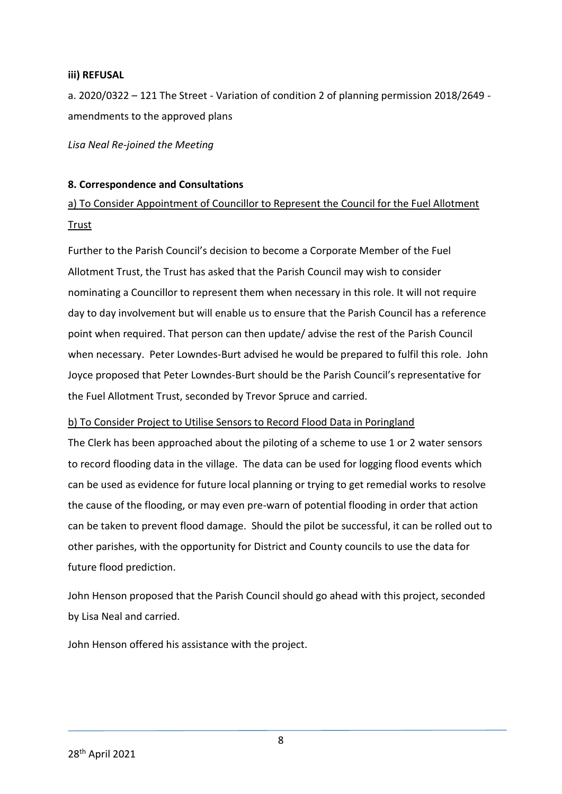#### **iii) REFUSAL**

a. 2020/0322 – 121 The Street - Variation of condition 2 of planning permission 2018/2649 amendments to the approved plans

*Lisa Neal Re-joined the Meeting*

#### **8. Correspondence and Consultations**

a) To Consider Appointment of Councillor to Represent the Council for the Fuel Allotment Trust

Further to the Parish Council's decision to become a Corporate Member of the Fuel Allotment Trust, the Trust has asked that the Parish Council may wish to consider nominating a Councillor to represent them when necessary in this role. It will not require day to day involvement but will enable us to ensure that the Parish Council has a reference point when required. That person can then update/ advise the rest of the Parish Council when necessary. Peter Lowndes-Burt advised he would be prepared to fulfil this role. John Joyce proposed that Peter Lowndes-Burt should be the Parish Council's representative for the Fuel Allotment Trust, seconded by Trevor Spruce and carried.

#### b) To Consider Project to Utilise Sensors to Record Flood Data in Poringland

The Clerk has been approached about the piloting of a scheme to use 1 or 2 water sensors to record flooding data in the village. The data can be used for logging flood events which can be used as evidence for future local planning or trying to get remedial works to resolve the cause of the flooding, or may even pre-warn of potential flooding in order that action can be taken to prevent flood damage. Should the pilot be successful, it can be rolled out to other parishes, with the opportunity for District and County councils to use the data for future flood prediction.

John Henson proposed that the Parish Council should go ahead with this project, seconded by Lisa Neal and carried.

John Henson offered his assistance with the project.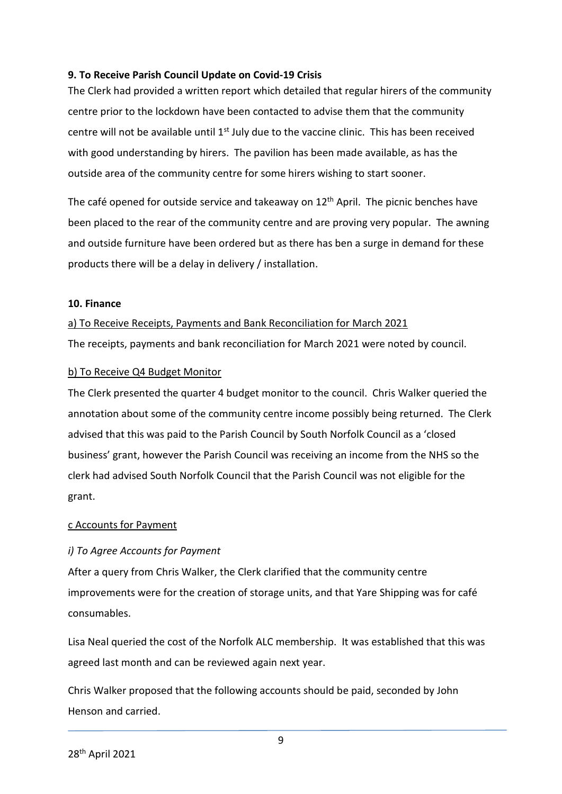## **9. To Receive Parish Council Update on Covid-19 Crisis**

The Clerk had provided a written report which detailed that regular hirers of the community centre prior to the lockdown have been contacted to advise them that the community centre will not be available until 1<sup>st</sup> July due to the vaccine clinic. This has been received with good understanding by hirers. The pavilion has been made available, as has the outside area of the community centre for some hirers wishing to start sooner.

The café opened for outside service and takeaway on  $12<sup>th</sup>$  April. The picnic benches have been placed to the rear of the community centre and are proving very popular. The awning and outside furniture have been ordered but as there has ben a surge in demand for these products there will be a delay in delivery / installation.

#### **10. Finance**

a) To Receive Receipts, Payments and Bank Reconciliation for March 2021 The receipts, payments and bank reconciliation for March 2021 were noted by council.

#### b) To Receive Q4 Budget Monitor

The Clerk presented the quarter 4 budget monitor to the council. Chris Walker queried the annotation about some of the community centre income possibly being returned. The Clerk advised that this was paid to the Parish Council by South Norfolk Council as a 'closed business' grant, however the Parish Council was receiving an income from the NHS so the clerk had advised South Norfolk Council that the Parish Council was not eligible for the grant.

#### c Accounts for Payment

## *i) To Agree Accounts for Payment*

After a query from Chris Walker, the Clerk clarified that the community centre improvements were for the creation of storage units, and that Yare Shipping was for café consumables.

Lisa Neal queried the cost of the Norfolk ALC membership. It was established that this was agreed last month and can be reviewed again next year.

Chris Walker proposed that the following accounts should be paid, seconded by John Henson and carried.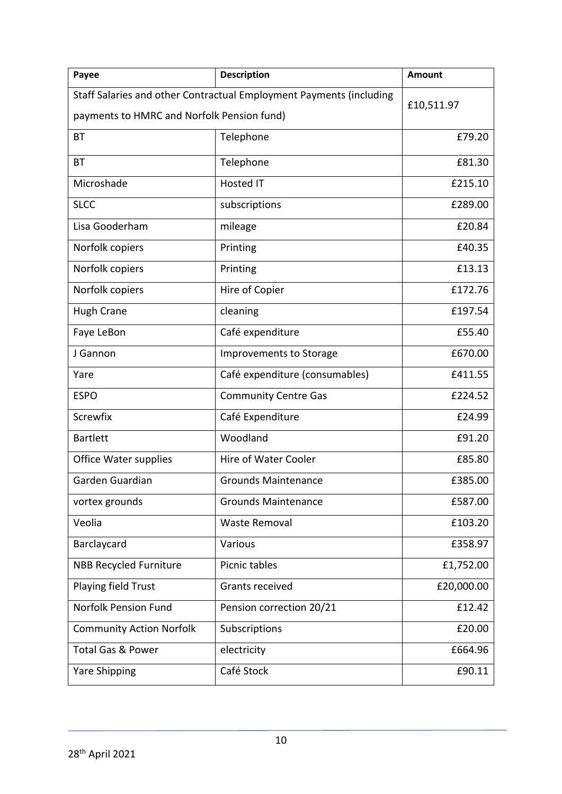| Payee                                                                             | <b>Description</b>             | <b>Amount</b> |  |
|-----------------------------------------------------------------------------------|--------------------------------|---------------|--|
| Staff Salaries and other Contractual Employment Payments (including<br>£10,511.97 |                                |               |  |
| payments to HMRC and Norfolk Pension fund)                                        |                                |               |  |
| BT                                                                                | Telephone                      | £79.20        |  |
| <b>BT</b>                                                                         | Telephone                      | £81.30        |  |
| Microshade                                                                        | Hosted IT                      | £215.10       |  |
| <b>SLCC</b>                                                                       | subscriptions                  | £289.00       |  |
| Lisa Gooderham                                                                    | mileage                        | £20.84        |  |
| Norfolk copiers                                                                   | Printing                       | £40.35        |  |
| Norfolk copiers                                                                   | Printing                       | £13.13        |  |
| Norfolk copiers                                                                   | Hire of Copier                 | £172.76       |  |
| <b>Hugh Crane</b>                                                                 | cleaning                       | £197.54       |  |
| Faye LeBon                                                                        | Café expenditure               | £55.40        |  |
| J Gannon                                                                          | Improvements to Storage        | £670.00       |  |
| Yare                                                                              | Café expenditure (consumables) | £411.55       |  |
| <b>ESPO</b>                                                                       | <b>Community Centre Gas</b>    | £224.52       |  |
| Screwfix                                                                          | Café Expenditure               | £24.99        |  |
| <b>Bartlett</b>                                                                   | Woodland                       | £91.20        |  |
| Office Water supplies                                                             | Hire of Water Cooler           | £85.80        |  |
| Garden Guardian                                                                   | <b>Grounds Maintenance</b>     | £385.00       |  |
| vortex grounds                                                                    | <b>Grounds Maintenance</b>     | £587.00       |  |
| Veolia                                                                            | <b>Waste Removal</b>           | £103.20       |  |
| Barclaycard                                                                       | Various                        | £358.97       |  |
| <b>NBB Recycled Furniture</b>                                                     | Picnic tables                  | £1,752.00     |  |
| Playing field Trust                                                               | Grants received                | £20,000.00    |  |
| Norfolk Pension Fund                                                              | Pension correction 20/21       | £12.42        |  |
| <b>Community Action Norfolk</b>                                                   | Subscriptions                  | £20.00        |  |
| <b>Total Gas &amp; Power</b>                                                      | electricity                    | £664.96       |  |
| <b>Yare Shipping</b>                                                              | Café Stock                     | £90.11        |  |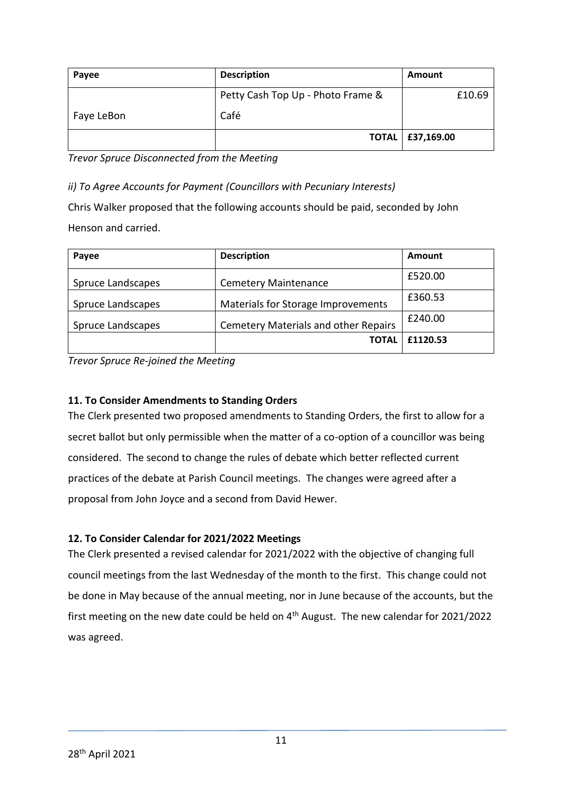| Payee      | <b>Description</b>                | Amount             |
|------------|-----------------------------------|--------------------|
|            | Petty Cash Top Up - Photo Frame & | £10.69             |
| Faye LeBon | Café                              |                    |
|            |                                   | TOTAL   £37,169.00 |

*Trevor Spruce Disconnected from the Meeting*

*ii) To Agree Accounts for Payment (Councillors with Pecuniary Interests)*

Chris Walker proposed that the following accounts should be paid, seconded by John Henson and carried.

| Payee             | <b>Description</b>                          | Amount   |
|-------------------|---------------------------------------------|----------|
| Spruce Landscapes | <b>Cemetery Maintenance</b>                 | £520.00  |
| Spruce Landscapes | Materials for Storage Improvements          | £360.53  |
| Spruce Landscapes | <b>Cemetery Materials and other Repairs</b> | £240.00  |
|                   | <b>TOTAL</b>                                | £1120.53 |

*Trevor Spruce Re-joined the Meeting*

# **11. To Consider Amendments to Standing Orders**

The Clerk presented two proposed amendments to Standing Orders, the first to allow for a secret ballot but only permissible when the matter of a co-option of a councillor was being considered. The second to change the rules of debate which better reflected current practices of the debate at Parish Council meetings. The changes were agreed after a proposal from John Joyce and a second from David Hewer.

## **12. To Consider Calendar for 2021/2022 Meetings**

The Clerk presented a revised calendar for 2021/2022 with the objective of changing full council meetings from the last Wednesday of the month to the first. This change could not be done in May because of the annual meeting, nor in June because of the accounts, but the first meeting on the new date could be held on  $4<sup>th</sup>$  August. The new calendar for 2021/2022 was agreed.